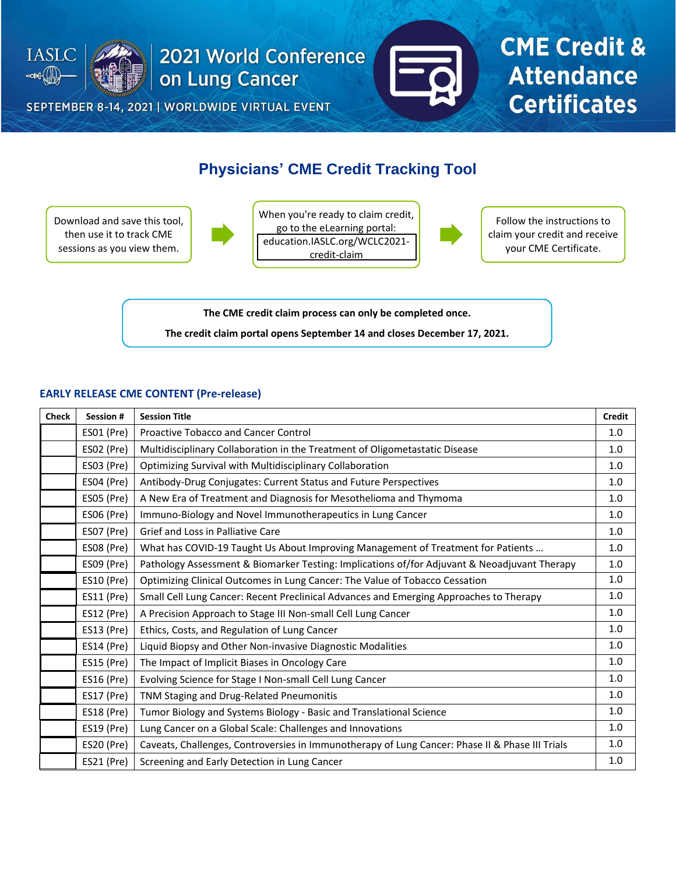

SEPTEMBER 8-14, 2021 | WORLDWIDE VIRTUAL EVENT



## **CME Credit & Attendance Certificates**

### **Physicians' CME Credit Tracking Tool**

Download and save this tool, then use it to track CME sessions as you view them.



When you're ready to claim credit, go to the eLearning portal: [education.IASLC.org/WCLC2021](education.IASLC.org/WCLC2021-credit-claim) credit-claim



Follow the instructions to claim your credit and receive your CME Certificate.

**The CME credit claim process can only be completed once.**

**The credit claim portal opens September 14 and closes December 17, 2021.**

#### **EARLY RELEASE CME CONTENT (Pre-release)**

| <b>Check</b> | Session #         | <b>Session Title</b>                                                                            | <b>Credit</b> |
|--------------|-------------------|-------------------------------------------------------------------------------------------------|---------------|
|              | ES01 (Pre)        | <b>Proactive Tobacco and Cancer Control</b>                                                     | 1.0           |
|              | ESO2 (Pre)        | Multidisciplinary Collaboration in the Treatment of Oligometastatic Disease                     | 1.0           |
|              | ES03 (Pre)        | Optimizing Survival with Multidisciplinary Collaboration                                        | 1.0           |
|              | ES04 (Pre)        | Antibody-Drug Conjugates: Current Status and Future Perspectives                                | 1.0           |
|              | ES05 (Pre)        | A New Era of Treatment and Diagnosis for Mesothelioma and Thymoma                               | 1.0           |
|              | <b>ES06 (Pre)</b> | Immuno-Biology and Novel Immunotherapeutics in Lung Cancer                                      | 1.0           |
|              | ES07 (Pre)        | Grief and Loss in Palliative Care                                                               | 1.0           |
|              | ES08 (Pre)        | What has COVID-19 Taught Us About Improving Management of Treatment for Patients                | 1.0           |
|              | ES09 (Pre)        | Pathology Assessment & Biomarker Testing: Implications of/for Adjuvant & Neoadjuvant Therapy    | 1.0           |
|              | <b>ES10 (Pre)</b> | Optimizing Clinical Outcomes in Lung Cancer: The Value of Tobacco Cessation                     | 1.0           |
|              | ES11 (Pre)        | Small Cell Lung Cancer: Recent Preclinical Advances and Emerging Approaches to Therapy          | 1.0           |
|              | ES12 (Pre)        | A Precision Approach to Stage III Non-small Cell Lung Cancer                                    | 1.0           |
|              | ES13 (Pre)        | Ethics, Costs, and Regulation of Lung Cancer                                                    | 1.0           |
|              | ES14 (Pre)        | Liquid Biopsy and Other Non-invasive Diagnostic Modalities                                      | 1.0           |
|              | <b>ES15 (Pre)</b> | The Impact of Implicit Biases in Oncology Care                                                  | 1.0           |
|              | <b>ES16 (Pre)</b> | Evolving Science for Stage I Non-small Cell Lung Cancer                                         | 1.0           |
|              | ES17 (Pre)        | TNM Staging and Drug-Related Pneumonitis                                                        | 1.0           |
|              | <b>ES18 (Pre)</b> | Tumor Biology and Systems Biology - Basic and Translational Science                             | 1.0           |
|              | ES19 (Pre)        | Lung Cancer on a Global Scale: Challenges and Innovations                                       | 1.0           |
|              | ES20 (Pre)        | Caveats, Challenges, Controversies in Immunotherapy of Lung Cancer: Phase II & Phase III Trials | 1.0           |
|              | ES21 (Pre)        | Screening and Early Detection in Lung Cancer                                                    | 1.0           |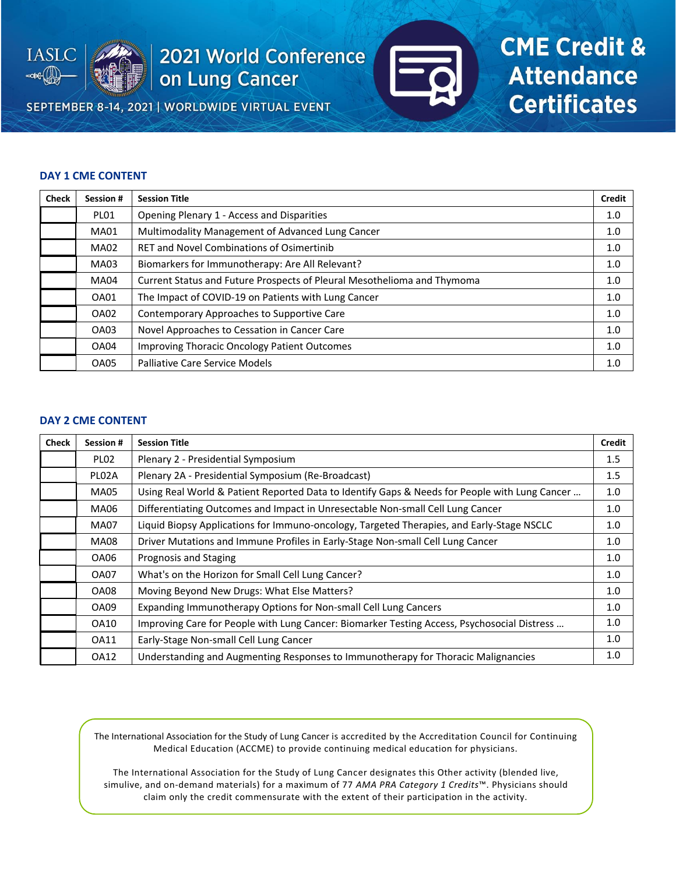

SEPTEMBER 8-14, 2021 | WORLDWIDE VIRTUAL EVENT



## **CME Credit & Attendance Certificates**

#### **DAY 1 CME CONTENT**

| <b>Check</b> | Session #   | <b>Session Title</b>                                                    | <b>Credit</b> |
|--------------|-------------|-------------------------------------------------------------------------|---------------|
|              | PLO1        | Opening Plenary 1 - Access and Disparities                              | 1.0           |
|              | <b>MA01</b> | Multimodality Management of Advanced Lung Cancer                        | 1.0           |
|              | <b>MA02</b> | <b>RET and Novel Combinations of Osimertinib</b>                        | 1.0           |
|              | MA03        | Biomarkers for Immunotherapy: Are All Relevant?                         | 1.0           |
|              | <b>MA04</b> | Current Status and Future Prospects of Pleural Mesothelioma and Thymoma | 1.0           |
|              | OA01        | The Impact of COVID-19 on Patients with Lung Cancer                     | 1.0           |
|              | OA02        | Contemporary Approaches to Supportive Care                              | 1.0           |
|              | OA03        | Novel Approaches to Cessation in Cancer Care                            | 1.0           |
|              | OA04        | <b>Improving Thoracic Oncology Patient Outcomes</b>                     | 1.0           |
|              | OA05        | <b>Palliative Care Service Models</b>                                   | 1.0           |

#### **DAY 2 CME CONTENT**

| <b>Check</b> | <b>Session #</b>   | <b>Session Title</b>                                                                          | Credit |
|--------------|--------------------|-----------------------------------------------------------------------------------------------|--------|
|              | PLO <sub>2</sub>   | Plenary 2 - Presidential Symposium                                                            | 1.5    |
|              | PLO <sub>2</sub> A | Plenary 2A - Presidential Symposium (Re-Broadcast)                                            | 1.5    |
|              | <b>MA05</b>        | Using Real World & Patient Reported Data to Identify Gaps & Needs for People with Lung Cancer | 1.0    |
|              | MA06               | Differentiating Outcomes and Impact in Unresectable Non-small Cell Lung Cancer                | 1.0    |
|              | <b>MA07</b>        | Liquid Biopsy Applications for Immuno-oncology, Targeted Therapies, and Early-Stage NSCLC     | 1.0    |
|              | MA08               | Driver Mutations and Immune Profiles in Early-Stage Non-small Cell Lung Cancer                | 1.0    |
|              | OA06               | Prognosis and Staging                                                                         | 1.0    |
|              | <b>OA07</b>        | What's on the Horizon for Small Cell Lung Cancer?                                             | 1.0    |
|              | OA08               | Moving Beyond New Drugs: What Else Matters?                                                   | 1.0    |
|              | OA09               | Expanding Immunotherapy Options for Non-small Cell Lung Cancers                               | 1.0    |
|              | OA10               | Improving Care for People with Lung Cancer: Biomarker Testing Access, Psychosocial Distress   | 1.0    |
|              | OA11               | Early-Stage Non-small Cell Lung Cancer                                                        | 1.0    |
|              | <b>OA12</b>        | Understanding and Augmenting Responses to Immunotherapy for Thoracic Malignancies             | 1.0    |

The International Association for the Study of Lung Cancer is accredited by the Accreditation Council for Continuing Medical Education (ACCME) to provide continuing medical education for physicians.

The International Association for the Study of Lung Cancer designates this Other activity (blended live, simulive, and on-demand materials) for a maximum of 77 *AMA PRA Category 1 Credits*™. Physicians should claim only the credit commensurate with the extent of their participation in the activity.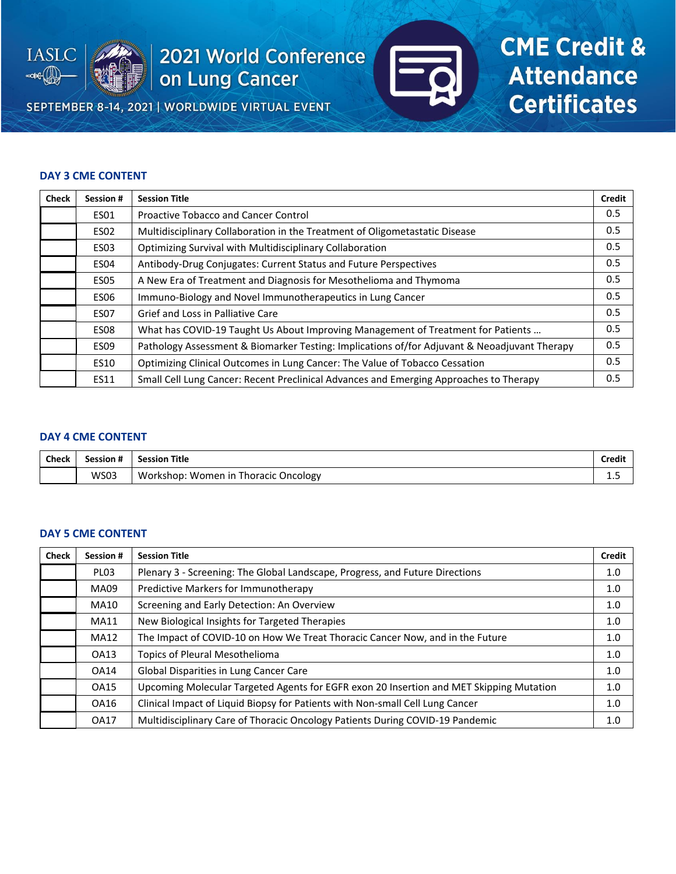

SEPTEMBER 8-14, 2021 | WORLDWIDE VIRTUAL EVENT



# **CME Credit & Attendance Certificates**

#### **DAY 3 CME CONTENT**

| <b>Check</b> | Session #   | <b>Session Title</b>                                                                         | <b>Credit</b> |
|--------------|-------------|----------------------------------------------------------------------------------------------|---------------|
|              | <b>ES01</b> | <b>Proactive Tobacco and Cancer Control</b>                                                  | 0.5           |
|              | <b>ES02</b> | Multidisciplinary Collaboration in the Treatment of Oligometastatic Disease                  | 0.5           |
|              | <b>ES03</b> | Optimizing Survival with Multidisciplinary Collaboration                                     | 0.5           |
|              | <b>ES04</b> | Antibody-Drug Conjugates: Current Status and Future Perspectives                             | 0.5           |
|              | <b>ES05</b> | A New Era of Treatment and Diagnosis for Mesothelioma and Thymoma                            | 0.5           |
|              | <b>ES06</b> | Immuno-Biology and Novel Immunotherapeutics in Lung Cancer                                   | 0.5           |
|              | <b>ES07</b> | Grief and Loss in Palliative Care                                                            | 0.5           |
|              | <b>ES08</b> | What has COVID-19 Taught Us About Improving Management of Treatment for Patients             | 0.5           |
|              | <b>ES09</b> | Pathology Assessment & Biomarker Testing: Implications of/for Adjuvant & Neoadjuvant Therapy | 0.5           |
|              | <b>ES10</b> | Optimizing Clinical Outcomes in Lung Cancer: The Value of Tobacco Cessation                  | 0.5           |
|              | <b>ES11</b> | Small Cell Lung Cancer: Recent Preclinical Advances and Emerging Approaches to Therapy       | 0.5           |

#### **DAY 4 CME CONTENT**

| <b>Check</b> | л.<br>Session # | <b>Session Title</b>                              | Credit |
|--------------|-----------------|---------------------------------------------------|--------|
|              | WS03            | Workshop:<br>Women in<br><b>Thoracic Oncology</b> | ---    |

#### **DAY 5 CME CONTENT**

| <b>Check</b> | Session #        | <b>Session Title</b>                                                                    | <b>Credit</b> |
|--------------|------------------|-----------------------------------------------------------------------------------------|---------------|
|              | PL <sub>03</sub> | Plenary 3 - Screening: The Global Landscape, Progress, and Future Directions            | 1.0           |
|              | <b>MA09</b>      | Predictive Markers for Immunotherapy                                                    | 1.0           |
|              | MA10             | Screening and Early Detection: An Overview                                              | 1.0           |
|              | <b>MA11</b>      | New Biological Insights for Targeted Therapies                                          | 1.0           |
|              | <b>MA12</b>      | The Impact of COVID-10 on How We Treat Thoracic Cancer Now, and in the Future           | 1.0           |
|              | OA13             | <b>Topics of Pleural Mesothelioma</b>                                                   | 1.0           |
|              | <b>OA14</b>      | Global Disparities in Lung Cancer Care                                                  | 1.0           |
|              | <b>OA15</b>      | Upcoming Molecular Targeted Agents for EGFR exon 20 Insertion and MET Skipping Mutation | 1.0           |
|              | OA16             | Clinical Impact of Liquid Biopsy for Patients with Non-small Cell Lung Cancer           | 1.0           |
|              | <b>OA17</b>      | Multidisciplinary Care of Thoracic Oncology Patients During COVID-19 Pandemic           | 1.0           |